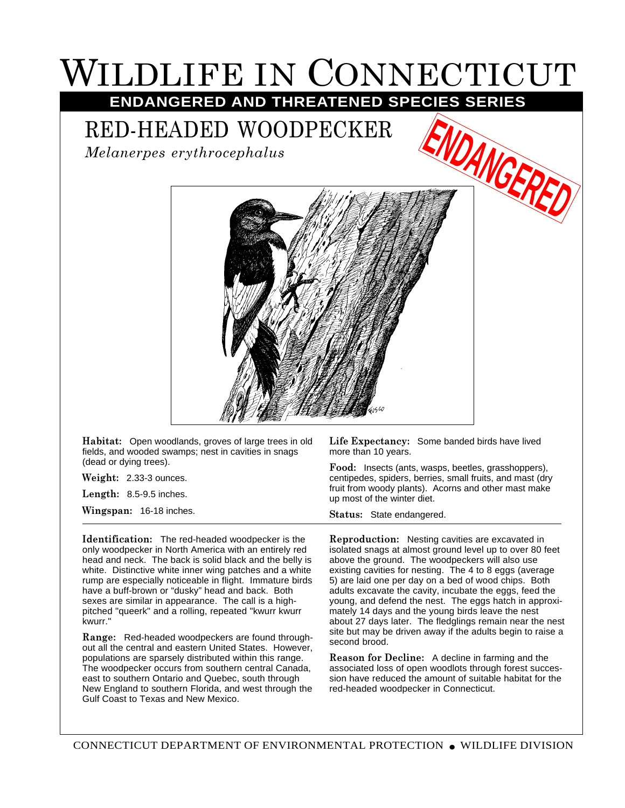## WILDLIFE IN CONNECTICUT **ENDANGERED AND THREATENED SPECIES SERIES**

RED-HEADED WOODPECKER

*Melanerpes erythrocephalus*



**Habitat:** Open woodlands, groves of large trees in old fields, and wooded swamps; nest in cavities in snags (dead or dying trees).

**Weight:** 2.33-3 ounces.

**Length:** 8.5-9.5 inches.

**Wingspan:** 16-18 inches.

**Identification:** The red-headed woodpecker is the only woodpecker in North America with an entirely red head and neck. The back is solid black and the belly is white. Distinctive white inner wing patches and a white rump are especially noticeable in flight. Immature birds have a buff-brown or "dusky" head and back. Both sexes are similar in appearance. The call is a highpitched "queerk" and a rolling, repeated "kwurr kwurr kwurr."

**Range:** Red-headed woodpeckers are found throughout all the central and eastern United States. However, populations are sparsely distributed within this range. The woodpecker occurs from southern central Canada, east to southern Ontario and Quebec, south through New England to southern Florida, and west through the Gulf Coast to Texas and New Mexico.

**Life Expectancy:** Some banded birds have lived more than 10 years.

**Food:** Insects (ants, wasps, beetles, grasshoppers), centipedes, spiders, berries, small fruits, and mast (dry fruit from woody plants). Acorns and other mast make up most of the winter diet.

**Status:** State endangered.

**Reproduction:** Nesting cavities are excavated in isolated snags at almost ground level up to over 80 feet above the ground. The woodpeckers will also use existing cavities for nesting. The 4 to 8 eggs (average 5) are laid one per day on a bed of wood chips. Both adults excavate the cavity, incubate the eggs, feed the young, and defend the nest. The eggs hatch in approximately 14 days and the young birds leave the nest about 27 days later. The fledglings remain near the nest site but may be driven away if the adults begin to raise a second brood.

**Reason for Decline:** A decline in farming and the associated loss of open woodlots through forest succession have reduced the amount of suitable habitat for the red-headed woodpecker in Connecticut.